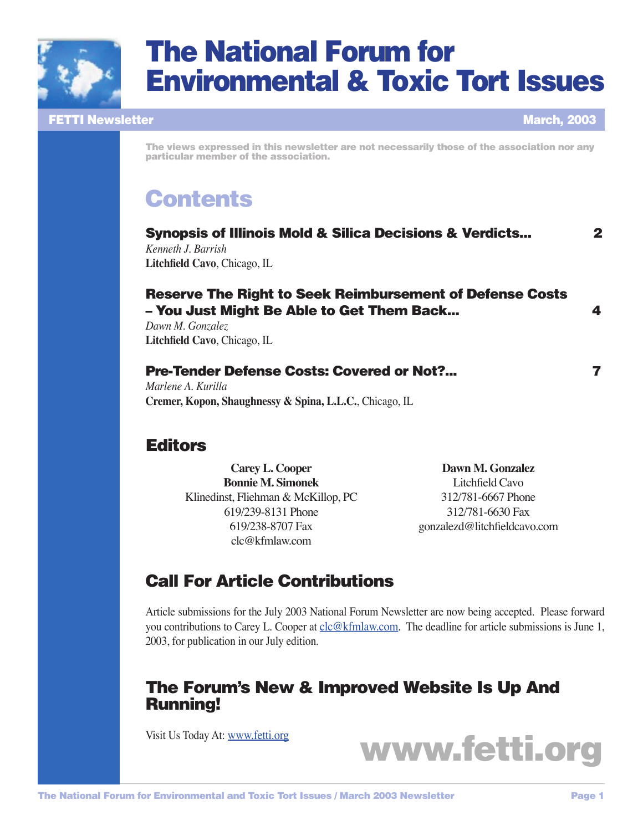

# The National Forum for Environmental & Toxic Tort Issues

### FETTI Newsletter March, 2003

The views expressed in this newsletter are not necessarily those of the association nor any particular member of the association.

# **Contents**

| <b>Synopsis of Illinois Mold &amp; Silica Decisions &amp; Verdicts</b> | $\mathbf 2$ |
|------------------------------------------------------------------------|-------------|
| Kenneth J. Barrish                                                     |             |
| <b>Litchfield Cavo, Chicago, IL</b>                                    |             |
|                                                                        |             |
|                                                                        |             |

# Reserve The Right to Seek Reimbursement of Defense Costs – You Just Might Be Able to Get Them Back... 4

*Dawn M. Gonzalez* Litchfield Cavo, Chicago, IL

#### Pre-Tender Defense Costs: Covered or Not?... 7

*Marlene A. Kurilla* **Cremer, Kopon, Shaughnessy & Spina, L.L.C.**, Chicago, IL

# **Editors**

**Carey L. Cooper Bonnie M. Simonek** Klinedinst, Fliehman & McKillop, PC 619/239-8131 Phone 619/238-8707 Fax [clc@kfmlaw.com](mailto:clc@kfmlaw.com)

**Dawn M. Gonzalez** Litchfield Cavo 312/781-6667 Phone 312/781-6630 Fax gonzalezd@litchfieldcavo.com

# Call For Article Contributions

Article submissions for the July 2003 National Forum Newsletter are now being accepted. Please forward you contributions to Carey L. Cooper at [clc@kfmlaw.com.](mailto:clc@kfmlaw.com) The deadline for article submissions is June 1, 2003, for publication in our July edition.

# The Forum's New & Improved Website Is Up And Running!

Visit Us Today At: [www.fetti.org](http://www.fetti.org)

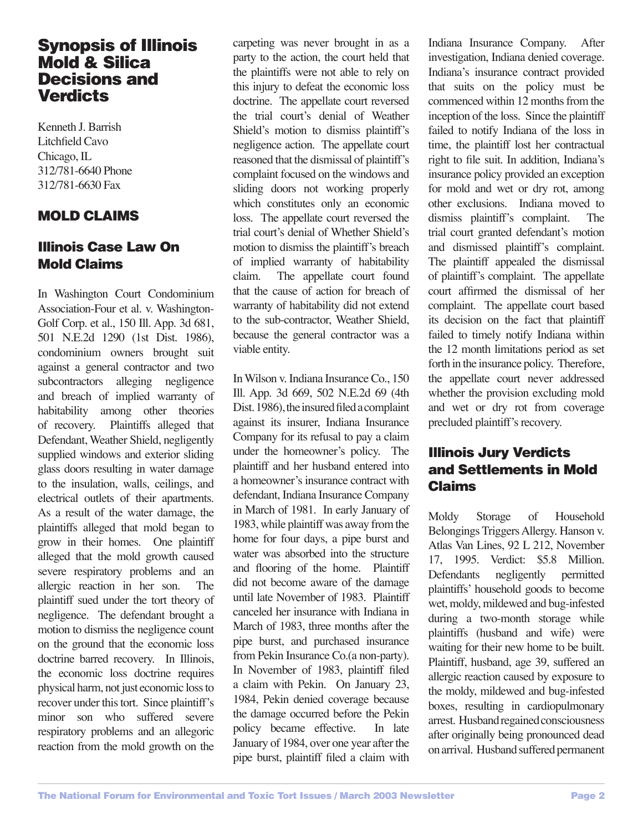# Synopsis of Illinois Mold & Silica Decisions and **Verdicts**

Kenneth J. Barrish Litchfield Cavo Chicago, IL 312/781-6640 Phone 312/781-6630 Fax

# MOLD CLAIMS

# Illinois Case Law On Mold Claims

In Washington Court Condominium Association-Four et al. v. Washington-Golf Corp. et al., 150 Ill. App. 3d 681, 501 N.E.2d 1290 (1st Dist. 1986), condominium owners brought suit against a general contractor and two subcontractors alleging negligence and breach of implied warranty of habitability among other theories of recovery. Plaintiffs alleged that Defendant, Weather Shield, negligently supplied windows and exterior sliding glass doors resulting in water damage to the insulation, walls, ceilings, and electrical outlets of their apartments. As a result of the water damage, the plaintiffs alleged that mold began to grow in their homes. One plaintiff alleged that the mold growth caused severe respiratory problems and an allergic reaction in her son. The plaintiff sued under the tort theory of negligence. The defendant brought a motion to dismiss the negligence count on the ground that the economic loss doctrine barred recovery. In Illinois, the economic loss doctrine requires physical harm, not just economic loss to recover under this tort. Since plaintiff's minor son who suffered severe respiratory problems and an allegoric reaction from the mold growth on the

carpeting was never brought in as a party to the action, the court held that the plaintiffs were not able to rely on this injury to defeat the economic loss doctrine. The appellate court reversed the trial court's denial of Weather Shield's motion to dismiss plaintiff's negligence action. The appellate court reasoned that the dismissal of plaintiff's complaint focused on the windows and sliding doors not working properly which constitutes only an economic loss. The appellate court reversed the trial court's denial of Whether Shield's motion to dismiss the plaintiff's breach of implied warranty of habitability claim. The appellate court found that the cause of action for breach of warranty of habitability did not extend to the sub-contractor, Weather Shield, because the general contractor was a viable entity.

In Wilson v. Indiana Insurance Co., 150 Ill. App. 3d 669, 502 N.E.2d 69 (4th Dist. 1986), the insured filed a complaint against its insurer, Indiana Insurance Company for its refusal to pay a claim under the homeowner's policy. The plaintiff and her husband entered into a homeowner's insurance contract with defendant, Indiana Insurance Company in March of 1981. In early January of 1983, while plaintiff was away from the home for four days, a pipe burst and water was absorbed into the structure and flooring of the home. Plaintiff did not become aware of the damage until late November of 1983. Plaintiff canceled her insurance with Indiana in March of 1983, three months after the pipe burst, and purchased insurance from Pekin Insurance Co.(a non-party). In November of 1983, plaintiff filed a claim with Pekin. On January 23, 1984, Pekin denied coverage because the damage occurred before the Pekin policy became effective. In late January of 1984, over one year after the pipe burst, plaintiff filed a claim with Indiana Insurance Company. After investigation, Indiana denied coverage. Indiana's insurance contract provided that suits on the policy must be commenced within 12 months from the inception of the loss. Since the plaintiff failed to notify Indiana of the loss in time, the plaintiff lost her contractual right to file suit. In addition, Indiana's insurance policy provided an exception for mold and wet or dry rot, among other exclusions. Indiana moved to dismiss plaintiff's complaint. The trial court granted defendant's motion and dismissed plaintiff's complaint. The plaintiff appealed the dismissal of plaintiff's complaint. The appellate court affirmed the dismissal of her complaint. The appellate court based its decision on the fact that plaintiff failed to timely notify Indiana within the 12 month limitations period as set forth in the insurance policy. Therefore, the appellate court never addressed whether the provision excluding mold and wet or dry rot from coverage precluded plaintiff's recovery.

# Illinois Jury Verdicts and Settlements in Mold Claims

Moldy Storage of Household Belongings Triggers Allergy. Hanson v. Atlas Van Lines, 92 L 212, November 17, 1995. Verdict: \$5.8 Million. Defendants negligently permitted plaintiffs' household goods to become wet, moldy, mildewed and bug-infested during a two-month storage while plaintiffs (husband and wife) were waiting for their new home to be built. Plaintiff, husband, age 39, suffered an allergic reaction caused by exposure to the moldy, mildewed and bug-infested boxes, resulting in cardiopulmonary arrest. Husband regained consciousness after originally being pronounced dead on arrival. Husband suffered permanent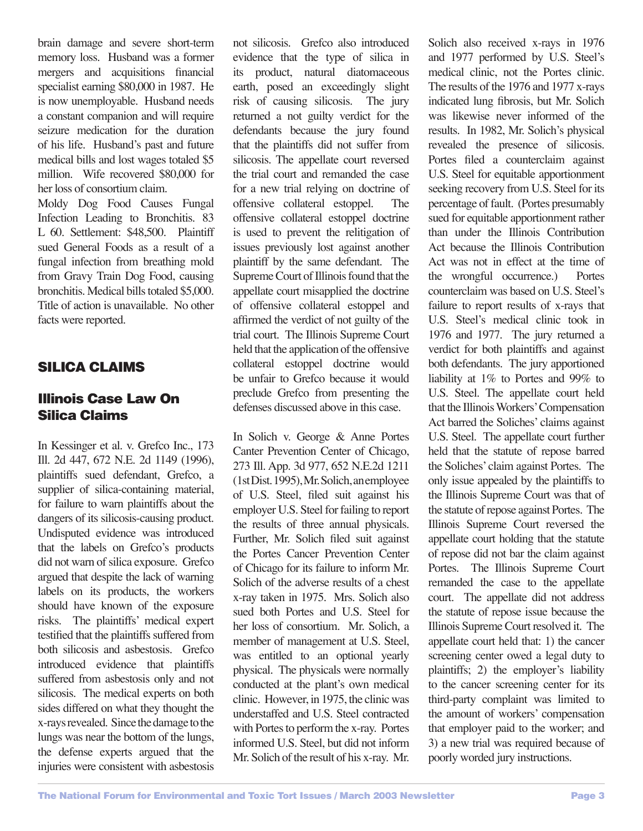brain damage and severe short-term memory loss. Husband was a former mergers and acquisitions financial specialist earning \$80,000 in 1987. He is now unemployable. Husband needs a constant companion and will require seizure medication for the duration of his life. Husband's past and future medical bills and lost wages totaled \$5 million. Wife recovered \$80,000 for her loss of consortium claim.

Moldy Dog Food Causes Fungal Infection Leading to Bronchitis. 83 L 60. Settlement: \$48,500. Plaintiff sued General Foods as a result of a fungal infection from breathing mold from Gravy Train Dog Food, causing bronchitis. Medical bills totaled \$5,000. Title of action is unavailable. No other facts were reported.

# SILICA CLAIMS

# Illinois Case Law On Silica Claims

In Kessinger et al. v. Grefco Inc., 173 Ill. 2d 447, 672 N.E. 2d 1149 (1996), plaintiffs sued defendant, Grefco, a supplier of silica-containing material, for failure to warn plaintiffs about the dangers of its silicosis-causing product. Undisputed evidence was introduced that the labels on Grefco's products did not warn of silica exposure. Grefco argued that despite the lack of warning labels on its products, the workers should have known of the exposure risks. The plaintiffs' medical expert testified that the plaintiffs suffered from both silicosis and asbestosis. Grefco introduced evidence that plaintiffs suffered from asbestosis only and not silicosis. The medical experts on both sides differed on what they thought the x-rays revealed. Since the damage to the lungs was near the bottom of the lungs, the defense experts argued that the injuries were consistent with asbestosis not silicosis. Grefco also introduced evidence that the type of silica in its product, natural diatomaceous earth, posed an exceedingly slight risk of causing silicosis. The jury returned a not guilty verdict for the defendants because the jury found that the plaintiffs did not suffer from silicosis. The appellate court reversed the trial court and remanded the case for a new trial relying on doctrine of offensive collateral estoppel. The offensive collateral estoppel doctrine is used to prevent the relitigation of issues previously lost against another plaintiff by the same defendant. The Supreme Court of Illinois found that the appellate court misapplied the doctrine of offensive collateral estoppel and affirmed the verdict of not guilty of the trial court. The Illinois Supreme Court held that the application of the offensive collateral estoppel doctrine would be unfair to Grefco because it would preclude Grefco from presenting the defenses discussed above in this case.

In Solich v. George & Anne Portes Canter Prevention Center of Chicago, 273 Ill. App. 3d 977, 652 N.E.2d 1211 (1st Dist. 1995), Mr. Solich, an employee of U.S. Steel, filed suit against his employer U.S. Steel for failing to report the results of three annual physicals. Further, Mr. Solich filed suit against the Portes Cancer Prevention Center of Chicago for its failure to inform Mr. Solich of the adverse results of a chest x-ray taken in 1975. Mrs. Solich also sued both Portes and U.S. Steel for her loss of consortium. Mr. Solich, a member of management at U.S. Steel, was entitled to an optional yearly physical. The physicals were normally conducted at the plant's own medical clinic. However, in 1975, the clinic was understaffed and U.S. Steel contracted with Portes to perform the x-ray. Portes informed U.S. Steel, but did not inform Mr. Solich of the result of his x-ray. Mr.

Solich also received x-rays in 1976 and 1977 performed by U.S. Steel's medical clinic, not the Portes clinic. The results of the 1976 and 1977 x-rays indicated lung fibrosis, but Mr. Solich was likewise never informed of the results. In 1982, Mr. Solich's physical revealed the presence of silicosis. Portes filed a counterclaim against U.S. Steel for equitable apportionment seeking recovery from U.S. Steel for its percentage of fault. (Portes presumably sued for equitable apportionment rather than under the Illinois Contribution Act because the Illinois Contribution Act was not in effect at the time of the wrongful occurrence.) Portes counterclaim was based on U.S. Steel's failure to report results of x-rays that U.S. Steel's medical clinic took in 1976 and 1977. The jury returned a verdict for both plaintiffs and against both defendants. The jury apportioned liability at 1% to Portes and 99% to U.S. Steel. The appellate court held that the Illinois Workers' Compensation Act barred the Soliches' claims against U.S. Steel. The appellate court further held that the statute of repose barred the Soliches' claim against Portes. The only issue appealed by the plaintiffs to the Illinois Supreme Court was that of the statute of repose against Portes. The Illinois Supreme Court reversed the appellate court holding that the statute of repose did not bar the claim against Portes. The Illinois Supreme Court remanded the case to the appellate court. The appellate did not address the statute of repose issue because the Illinois Supreme Court resolved it. The appellate court held that: 1) the cancer screening center owed a legal duty to plaintiffs; 2) the employer's liability to the cancer screening center for its third-party complaint was limited to the amount of workers' compensation that employer paid to the worker; and 3) a new trial was required because of poorly worded jury instructions.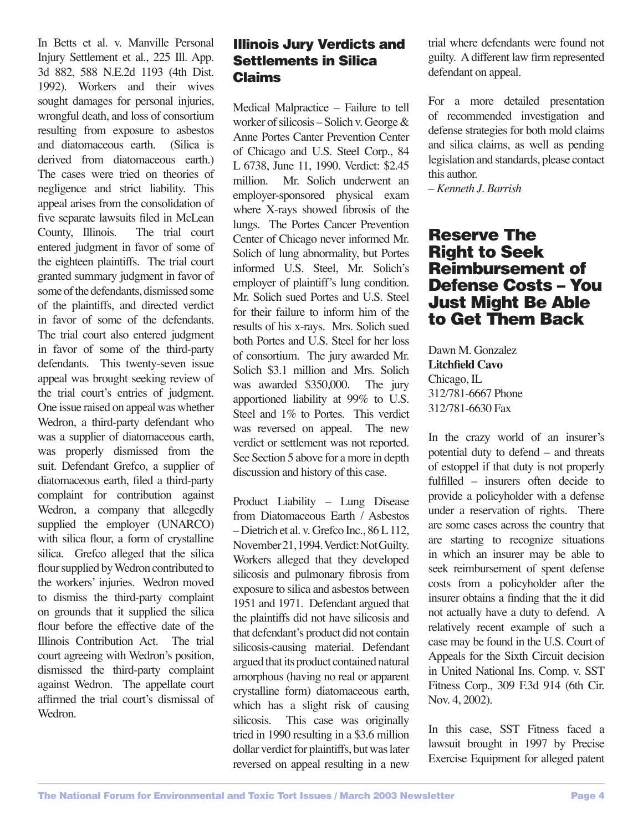In Betts et al. v. Manville Personal Injury Settlement et al., 225 Ill. App. 3d 882, 588 N.E.2d 1193 (4th Dist. 1992). Workers and their wives sought damages for personal injuries, wrongful death, and loss of consortium resulting from exposure to asbestos and diatomaceous earth. (Silica is derived from diatomaceous earth.) The cases were tried on theories of negligence and strict liability. This appeal arises from the consolidation of five separate lawsuits filed in McLean County, Illinois. The trial court entered judgment in favor of some of the eighteen plaintiffs. The trial court granted summary judgment in favor of some of the defendants, dismissed some of the plaintiffs, and directed verdict in favor of some of the defendants. The trial court also entered judgment in favor of some of the third-party defendants. This twenty-seven issue appeal was brought seeking review of the trial court's entries of judgment. One issue raised on appeal was whether Wedron, a third-party defendant who was a supplier of diatomaceous earth, was properly dismissed from the suit. Defendant Grefco, a supplier of diatomaceous earth, filed a third-party complaint for contribution against Wedron, a company that allegedly supplied the employer (UNARCO) with silica flour, a form of crystalline silica. Grefco alleged that the silica flour supplied by Wedron contributed to the workers' injuries. Wedron moved to dismiss the third-party complaint on grounds that it supplied the silica flour before the effective date of the Illinois Contribution Act. The trial court agreeing with Wedron's position, dismissed the third-party complaint against Wedron. The appellate court affirmed the trial court's dismissal of Wedron.

# Illinois Jury Verdicts and Settlements in Silica Claims

Medical Malpractice – Failure to tell worker of silicosis – Solich v. George & Anne Portes Canter Prevention Center of Chicago and U.S. Steel Corp., 84 L 6738, June 11, 1990. Verdict: \$2.45 million. Mr. Solich underwent an employer-sponsored physical exam where X-rays showed fibrosis of the lungs. The Portes Cancer Prevention Center of Chicago never informed Mr. Solich of lung abnormality, but Portes informed U.S. Steel, Mr. Solich's employer of plaintiff's lung condition. Mr. Solich sued Portes and U.S. Steel for their failure to inform him of the results of his x-rays. Mrs. Solich sued both Portes and U.S. Steel for her loss of consortium. The jury awarded Mr. Solich \$3.1 million and Mrs. Solich was awarded \$350,000. The jury apportioned liability at 99% to U.S. Steel and 1% to Portes. This verdict was reversed on appeal. The new verdict or settlement was not reported. See Section 5 above for a more in depth discussion and history of this case.

Product Liability – Lung Disease from Diatomaceous Earth / Asbestos – Dietrich et al. v. Grefco Inc., 86 L 112, November 21, 1994. Verdict: Not Guilty. Workers alleged that they developed silicosis and pulmonary fibrosis from exposure to silica and asbestos between 1951 and 1971. Defendant argued that the plaintiffs did not have silicosis and that defendant's product did not contain silicosis-causing material. Defendant argued that its product contained natural amorphous (having no real or apparent crystalline form) diatomaceous earth, which has a slight risk of causing silicosis. This case was originally tried in 1990 resulting in a \$3.6 million dollar verdict for plaintiffs, but was later reversed on appeal resulting in a new

trial where defendants were found not guilty. A different law firm represented defendant on appeal.

For a more detailed presentation of recommended investigation and defense strategies for both mold claims and silica claims, as well as pending legislation and standards, please contact this author.

*– Kenneth J. Barrish*

# Reserve The Right to Seek Reimbursement of Defense Costs – You Just Might Be Able to Get Them Back

Dawn M. Gonzalez **Litchfield Cavo** Chicago, IL 312/781-6667 Phone 312/781-6630 Fax

In the crazy world of an insurer's potential duty to defend – and threats of estoppel if that duty is not properly fulfilled – insurers often decide to provide a policyholder with a defense under a reservation of rights. There are some cases across the country that are starting to recognize situations in which an insurer may be able to seek reimbursement of spent defense costs from a policyholder after the insurer obtains a finding that the it did not actually have a duty to defend. A relatively recent example of such a case may be found in the U.S. Court of Appeals for the Sixth Circuit decision in United National Ins. Comp. v. SST Fitness Corp., 309 F.3d 914 (6th Cir. Nov. 4, 2002).

In this case, SST Fitness faced a lawsuit brought in 1997 by Precise Exercise Equipment for alleged patent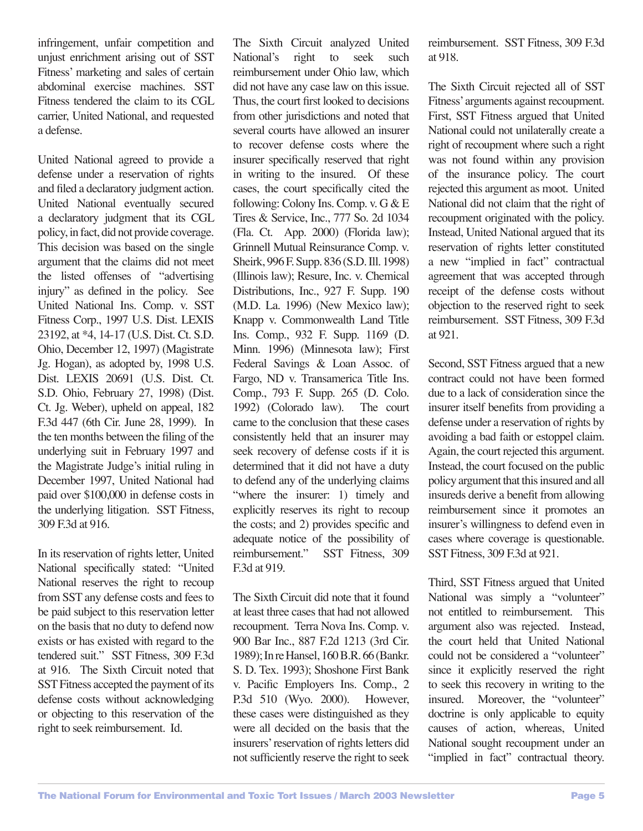infringement, unfair competition and unjust enrichment arising out of SST Fitness' marketing and sales of certain abdominal exercise machines. SST Fitness tendered the claim to its CGL carrier, United National, and requested a defense.

United National agreed to provide a defense under a reservation of rights and filed a declaratory judgment action. United National eventually secured a declaratory judgment that its CGL policy, in fact, did not provide coverage. This decision was based on the single argument that the claims did not meet the listed offenses of "advertising injury" as defined in the policy. See United National Ins. Comp. v. SST Fitness Corp., 1997 U.S. Dist. LEXIS 23192, at \*4, 14-17 (U.S. Dist. Ct. S.D. Ohio, December 12, 1997) (Magistrate Jg. Hogan), as adopted by, 1998 U.S. Dist. LEXIS 20691 (U.S. Dist. Ct. S.D. Ohio, February 27, 1998) (Dist. Ct. Jg. Weber), upheld on appeal, 182 F.3d 447 (6th Cir. June 28, 1999). In the ten months between the filing of the underlying suit in February 1997 and the Magistrate Judge's initial ruling in December 1997, United National had paid over \$100,000 in defense costs in the underlying litigation. SST Fitness, 309 F.3d at 916.

In its reservation of rights letter, United National specifically stated: "United National reserves the right to recoup from SST any defense costs and fees to be paid subject to this reservation letter on the basis that no duty to defend now exists or has existed with regard to the tendered suit." SST Fitness, 309 F.3d at 916. The Sixth Circuit noted that SST Fitness accepted the payment of its defense costs without acknowledging or objecting to this reservation of the right to seek reimbursement. Id.

The Sixth Circuit analyzed United<br>National's right to seek such National's right to seek such reimbursement under Ohio law, which did not have any case law on this issue. Thus, the court first looked to decisions from other jurisdictions and noted that several courts have allowed an insurer to recover defense costs where the insurer specifically reserved that right in writing to the insured. Of these cases, the court specifically cited the following: Colony Ins. Comp. v. G & E Tires & Service, Inc., 777 So. 2d 1034 (Fla. Ct. App. 2000) (Florida law); Grinnell Mutual Reinsurance Comp. v. Sheirk, 996 F. Supp. 836 (S.D. Ill. 1998) (Illinois law); Resure, Inc. v. Chemical Distributions, Inc., 927 F. Supp. 190 (M.D. La. 1996) (New Mexico law); Knapp v. Commonwealth Land Title Ins. Comp., 932 F. Supp. 1169 (D. Minn. 1996) (Minnesota law); First Federal Savings & Loan Assoc. of Fargo, ND v. Transamerica Title Ins. Comp., 793 F. Supp. 265 (D. Colo. 1992) (Colorado law). The court came to the conclusion that these cases consistently held that an insurer may seek recovery of defense costs if it is determined that it did not have a duty to defend any of the underlying claims "where the insurer: 1) timely and explicitly reserves its right to recoup the costs; and 2) provides specific and adequate notice of the possibility of reimbursement." SST Fitness, 309 F.3d at 919.

The Sixth Circuit did note that it found at least three cases that had not allowed recoupment. Terra Nova Ins. Comp. v. 900 Bar Inc., 887 F.2d 1213 (3rd Cir. 1989); In re Hansel, 160 B.R. 66 (Bankr. S. D. Tex. 1993); Shoshone First Bank v. Pacific Employers Ins. Comp., 2 P.3d 510 (Wyo. 2000). However, these cases were distinguished as they were all decided on the basis that the insurers' reservation of rights letters did not sufficiently reserve the right to seek

reimbursement. SST Fitness, 309 F.3d at 918.

The Sixth Circuit rejected all of SST Fitness' arguments against recoupment. First, SST Fitness argued that United National could not unilaterally create a right of recoupment where such a right was not found within any provision of the insurance policy. The court rejected this argument as moot. United National did not claim that the right of recoupment originated with the policy. Instead, United National argued that its reservation of rights letter constituted a new "implied in fact" contractual agreement that was accepted through receipt of the defense costs without objection to the reserved right to seek reimbursement. SST Fitness, 309 F.3d at 921.

Second, SST Fitness argued that a new contract could not have been formed due to a lack of consideration since the insurer itself benefits from providing a defense under a reservation of rights by avoiding a bad faith or estoppel claim. Again, the court rejected this argument. Instead, the court focused on the public policy argument that this insured and all insureds derive a benefit from allowing reimbursement since it promotes an insurer's willingness to defend even in cases where coverage is questionable. SST Fitness, 309 F.3d at 921.

Third, SST Fitness argued that United National was simply a "volunteer" not entitled to reimbursement. This argument also was rejected. Instead, the court held that United National could not be considered a "volunteer" since it explicitly reserved the right to seek this recovery in writing to the insured. Moreover, the "volunteer" doctrine is only applicable to equity causes of action, whereas, United National sought recoupment under an "implied in fact" contractual theory.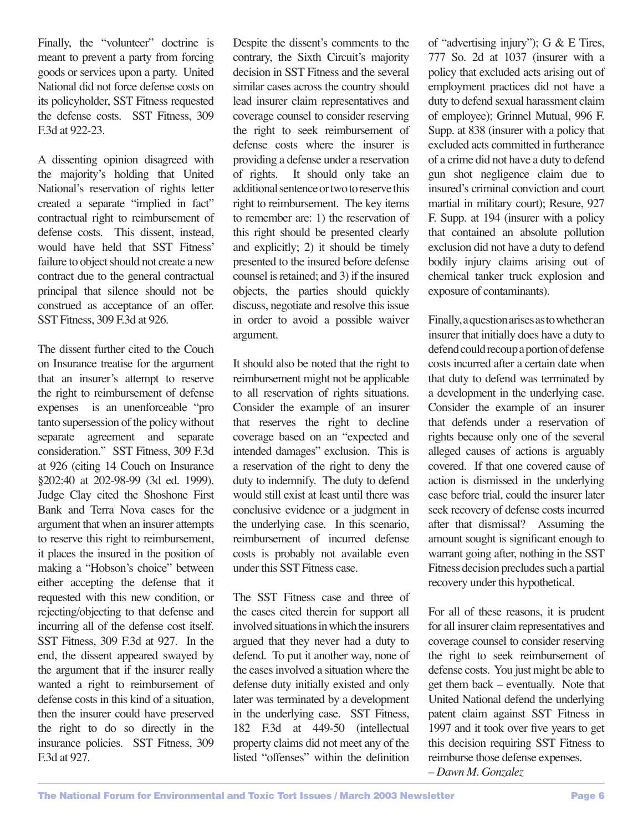Finally, the "volunteer" doctrine is meant to prevent a party from forcing goods or services upon a party. United National did not force defense costs on its policyholder, SST Fitness requested the defense costs. SST Fitness, 309 F.3d at 922-23.

A dissenting opinion disagreed with the majority's holding that United National's reservation of rights letter created a separate "implied in fact" contractual right to reimbursement of defense costs. This dissent, instead, would have held that SST Fitness' failure to object should not create a new contract due to the general contractual principal that silence should not be construed as acceptance of an offer. SST Fitness, 309 F.3d at 926.

The dissent further cited to the Couch on Insurance treatise for the argument that an insurer's attempt to reserve the right to reimbursement of defense expenses is an unenforceable "pro tanto supersession of the policy without separate agreement and separate consideration." SST Fitness, 309 F.3d at 926 (citing 14 Couch on Insurance §202:40 at 202-98-99 (3d ed. 1999). Judge Clay cited the Shoshone First Bank and Terra Nova cases for the argument that when an insurer attempts to reserve this right to reimbursement, it places the insured in the position of making a "Hobson's choice" between either accepting the defense that it requested with this new condition, or rejecting/objecting to that defense and incurring all of the defense cost itself. SST Fitness, 309 F.3d at 927. In the end, the dissent appeared swayed by the argument that if the insurer really wanted a right to reimbursement of defense costs in this kind of a situation, then the insurer could have preserved the right to do so directly in the insurance policies. SST Fitness, 309 F.3d at 927.

Despite the dissent's comments to the contrary, the Sixth Circuit's majority decision in SST Fitness and the several similar cases across the country should lead insurer claim representatives and coverage counsel to consider reserving the right to seek reimbursement of defense costs where the insurer is providing a defense under a reservation of rights. It should only take an additional sentence or two to reserve this right to reimbursement. The key items to remember are: 1) the reservation of this right should be presented clearly and explicitly; 2) it should be timely presented to the insured before defense counsel is retained; and 3) if the insured objects, the parties should quickly discuss, negotiate and resolve this issue in order to avoid a possible waiver argument.

It should also be noted that the right to reimbursement might not be applicable to all reservation of rights situations. Consider the example of an insurer that reserves the right to decline coverage based on an "expected and intended damages" exclusion. This is a reservation of the right to deny the duty to indemnify. The duty to defend would still exist at least until there was conclusive evidence or a judgment in the underlying case. In this scenario, reimbursement of incurred defense costs is probably not available even under this SST Fitness case.

The SST Fitness case and three of the cases cited therein for support all involved situations in which the insurers argued that they never had a duty to defend. To put it another way, none of the cases involved a situation where the defense duty initially existed and only later was terminated by a development in the underlying case. SST Fitness, 182 F.3d at 449-50 (intellectual property claims did not meet any of the listed "offenses" within the definition

of "advertising injury"); G & E Tires, 777 So. 2d at 1037 (insurer with a policy that excluded acts arising out of employment practices did not have a duty to defend sexual harassment claim of employee); Grinnel Mutual, 996 F. Supp. at 838 (insurer with a policy that excluded acts committed in furtherance of a crime did not have a duty to defend gun shot negligence claim due to insured's criminal conviction and court martial in military court); Resure, 927 F. Supp. at 194 (insurer with a policy that contained an absolute pollution exclusion did not have a duty to defend bodily injury claims arising out of chemical tanker truck explosion and exposure of contaminants).

Finally, a question arises as to whether an insurer that initially does have a duty to defend could recoup a portion of defense costs incurred after a certain date when that duty to defend was terminated by a development in the underlying case. Consider the example of an insurer that defends under a reservation of rights because only one of the several alleged causes of actions is arguably covered. If that one covered cause of action is dismissed in the underlying case before trial, could the insurer later seek recovery of defense costs incurred after that dismissal? Assuming the amount sought is significant enough to warrant going after, nothing in the SST Fitness decision precludes such a partial recovery under this hypothetical.

For all of these reasons, it is prudent for all insurer claim representatives and coverage counsel to consider reserving the right to seek reimbursement of defense costs. You just might be able to get them back – eventually. Note that United National defend the underlying patent claim against SST Fitness in 1997 and it took over five years to get this decision requiring SST Fitness to reimburse those defense expenses. *– Dawn M. Gonzalez*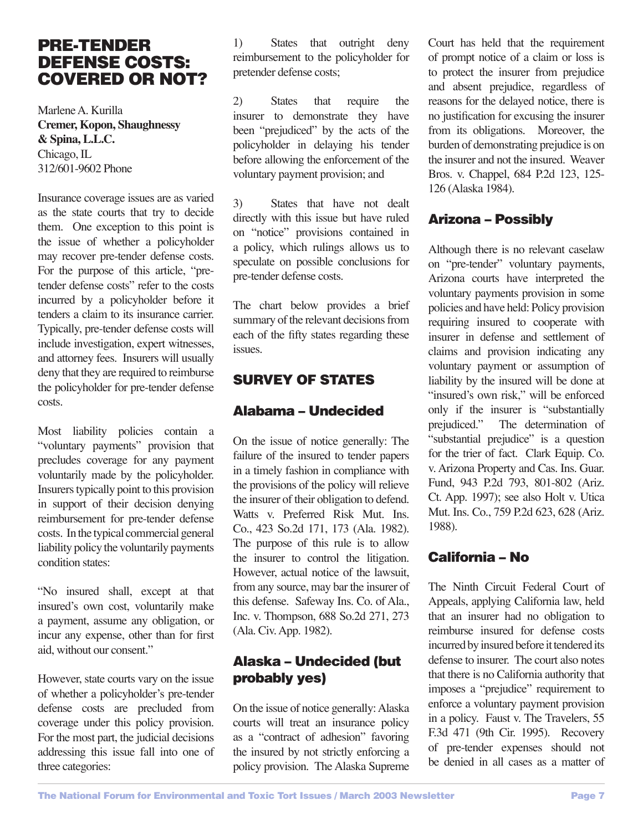# PRE-TENDER DEFENSE COSTS: COVERED OR NOT?

Marlene A. Kurilla **Cremer, Kopon, Shaughnessy & Spina, L.L.C.** Chicago, IL 312/601-9602 Phone

Insurance coverage issues are as varied as the state courts that try to decide them. One exception to this point is the issue of whether a policyholder may recover pre-tender defense costs. For the purpose of this article, "pretender defense costs" refer to the costs incurred by a policyholder before it tenders a claim to its insurance carrier. Typically, pre-tender defense costs will include investigation, expert witnesses, and attorney fees. Insurers will usually deny that they are required to reimburse the policyholder for pre-tender defense costs.

Most liability policies contain a "voluntary payments" provision that precludes coverage for any payment voluntarily made by the policyholder. Insurers typically point to this provision in support of their decision denying reimbursement for pre-tender defense costs. In the typical commercial general liability policy the voluntarily payments condition states:

"No insured shall, except at that insured's own cost, voluntarily make a payment, assume any obligation, or incur any expense, other than for first aid, without our consent."

However, state courts vary on the issue of whether a policyholder's pre-tender defense costs are precluded from coverage under this policy provision. For the most part, the judicial decisions addressing this issue fall into one of three categories:

1) States that outright deny reimbursement to the policyholder for pretender defense costs;

2) States that require the insurer to demonstrate they have been "prejudiced" by the acts of the policyholder in delaying his tender before allowing the enforcement of the voluntary payment provision; and

3) States that have not dealt directly with this issue but have ruled on "notice" provisions contained in a policy, which rulings allows us to speculate on possible conclusions for pre-tender defense costs.

The chart below provides a brief summary of the relevant decisions from each of the fifty states regarding these issues.

# SURVEY OF STATES

### Alabama – Undecided

On the issue of notice generally: The failure of the insured to tender papers in a timely fashion in compliance with the provisions of the policy will relieve the insurer of their obligation to defend. Watts v. Preferred Risk Mut. Ins. Co., 423 So.2d 171, 173 (Ala. 1982). The purpose of this rule is to allow the insurer to control the litigation. However, actual notice of the lawsuit, from any source, may bar the insurer of this defense. Safeway Ins. Co. of Ala., Inc. v. Thompson, 688 So.2d 271, 273 (Ala. Civ. App. 1982).

# Alaska – Undecided (but probably yes)

On the issue of notice generally: Alaska courts will treat an insurance policy as a "contract of adhesion" favoring the insured by not strictly enforcing a policy provision. The Alaska Supreme Court has held that the requirement of prompt notice of a claim or loss is to protect the insurer from prejudice and absent prejudice, regardless of reasons for the delayed notice, there is no justification for excusing the insurer from its obligations. Moreover, the burden of demonstrating prejudice is on the insurer and not the insured. Weaver Bros. v. Chappel, 684 P.2d 123, 125- 126 (Alaska 1984).

# Arizona – Possibly

Although there is no relevant caselaw on "pre-tender" voluntary payments, Arizona courts have interpreted the voluntary payments provision in some policies and have held: Policy provision requiring insured to cooperate with insurer in defense and settlement of claims and provision indicating any voluntary payment or assumption of liability by the insured will be done at "insured's own risk," will be enforced only if the insurer is "substantially prejudiced." The determination of "substantial prejudice" is a question for the trier of fact. Clark Equip. Co. v. Arizona Property and Cas. Ins. Guar. Fund, 943 P.2d 793, 801-802 (Ariz. Ct. App. 1997); see also Holt v. Utica Mut. Ins. Co., 759 P.2d 623, 628 (Ariz. 1988).

# California – No

The Ninth Circuit Federal Court of Appeals, applying California law, held that an insurer had no obligation to reimburse insured for defense costs incurred by insured before it tendered its defense to insurer. The court also notes that there is no California authority that imposes a "prejudice" requirement to enforce a voluntary payment provision in a policy. Faust v. The Travelers, 55 F.3d 471 (9th Cir. 1995). Recovery of pre-tender expenses should not be denied in all cases as a matter of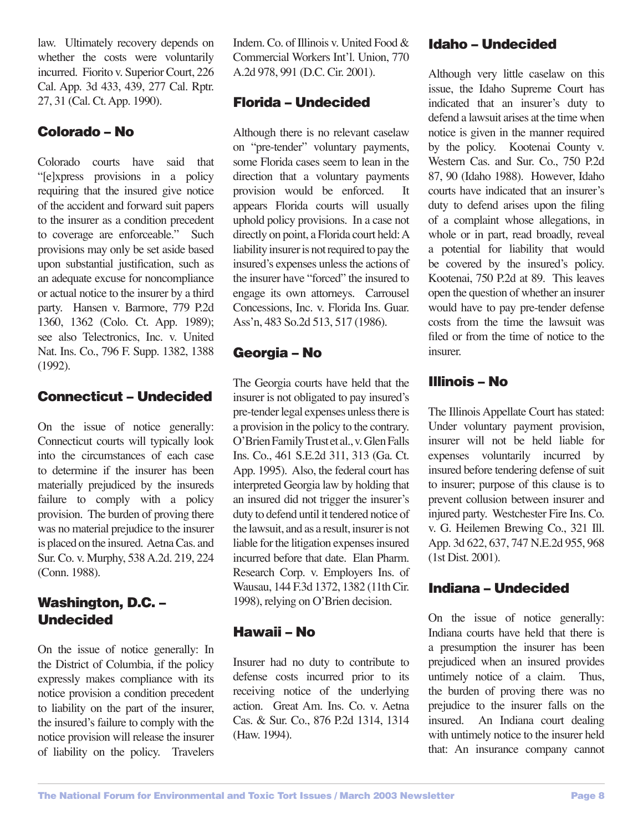law. Ultimately recovery depends on whether the costs were voluntarily incurred. Fiorito v. Superior Court, 226 Cal. App. 3d 433, 439, 277 Cal. Rptr. 27, 31 (Cal. Ct. App. 1990).

#### Colorado – No

Colorado courts have said that "[e]xpress provisions in a policy requiring that the insured give notice of the accident and forward suit papers to the insurer as a condition precedent to coverage are enforceable." Such provisions may only be set aside based upon substantial justification, such as an adequate excuse for noncompliance or actual notice to the insurer by a third party. Hansen v. Barmore, 779 P.2d 1360, 1362 (Colo. Ct. App. 1989); see also Telectronics, Inc. v. United Nat. Ins. Co., 796 F. Supp. 1382, 1388 (1992).

# Connecticut – Undecided

On the issue of notice generally: Connecticut courts will typically look into the circumstances of each case to determine if the insurer has been materially prejudiced by the insureds failure to comply with a policy provision. The burden of proving there was no material prejudice to the insurer is placed on the insured. Aetna Cas. and Sur. Co. v. Murphy, 538 A.2d. 219, 224 (Conn. 1988).

# Washington, D.C. – Undecided

On the issue of notice generally: In the District of Columbia, if the policy expressly makes compliance with its notice provision a condition precedent to liability on the part of the insurer, the insured's failure to comply with the notice provision will release the insurer of liability on the policy. Travelers

Indem. Co. of Illinois v. United Food & Commercial Workers Int'l. Union, 770 A.2d 978, 991 (D.C. Cir. 2001).

# Florida – Undecided

Although there is no relevant caselaw on "pre-tender" voluntary payments, some Florida cases seem to lean in the direction that a voluntary payments provision would be enforced. appears Florida courts will usually uphold policy provisions. In a case not directly on point, a Florida court held: A liability insurer is not required to pay the insured's expenses unless the actions of the insurer have "forced" the insured to engage its own attorneys. Carrousel Concessions, Inc. v. Florida Ins. Guar. Ass'n, 483 So.2d 513, 517 (1986).

# Georgia – No

The Georgia courts have held that the insurer is not obligated to pay insured's pre-tender legal expenses unless there is a provision in the policy to the contrary. O'Brien Family Trust et al., v. Glen Falls Ins. Co., 461 S.E.2d 311, 313 (Ga. Ct. App. 1995). Also, the federal court has interpreted Georgia law by holding that an insured did not trigger the insurer's duty to defend until it tendered notice of the lawsuit, and as a result, insurer is not liable for the litigation expenses insured incurred before that date. Elan Pharm. Research Corp. v. Employers Ins. of Wausau, 144 F.3d 1372, 1382 (11th Cir. 1998), relying on O'Brien decision.

# Hawaii – No

Insurer had no duty to contribute to defense costs incurred prior to its receiving notice of the underlying action. Great Am. Ins. Co. v. Aetna Cas. & Sur. Co., 876 P.2d 1314, 1314 (Haw. 1994).

# Idaho – Undecided

Although very little caselaw on this issue, the Idaho Supreme Court has indicated that an insurer's duty to defend a lawsuit arises at the time when notice is given in the manner required by the policy. Kootenai County v. Western Cas. and Sur. Co., 750 P.2d 87, 90 (Idaho 1988). However, Idaho courts have indicated that an insurer's duty to defend arises upon the filing of a complaint whose allegations, in whole or in part, read broadly, reveal a potential for liability that would be covered by the insured's policy. Kootenai, 750 P.2d at 89. This leaves open the question of whether an insurer would have to pay pre-tender defense costs from the time the lawsuit was filed or from the time of notice to the insurer.

# Illinois – No

The Illinois Appellate Court has stated: Under voluntary payment provision, insurer will not be held liable for expenses voluntarily incurred by insured before tendering defense of suit to insurer; purpose of this clause is to prevent collusion between insurer and injured party. Westchester Fire Ins. Co. v. G. Heilemen Brewing Co., 321 Ill. App. 3d 622, 637, 747 N.E.2d 955, 968 (1st Dist. 2001).

# Indiana – Undecided

On the issue of notice generally: Indiana courts have held that there is a presumption the insurer has been prejudiced when an insured provides untimely notice of a claim. Thus, the burden of proving there was no prejudice to the insurer falls on the insured. An Indiana court dealing with untimely notice to the insurer held that: An insurance company cannot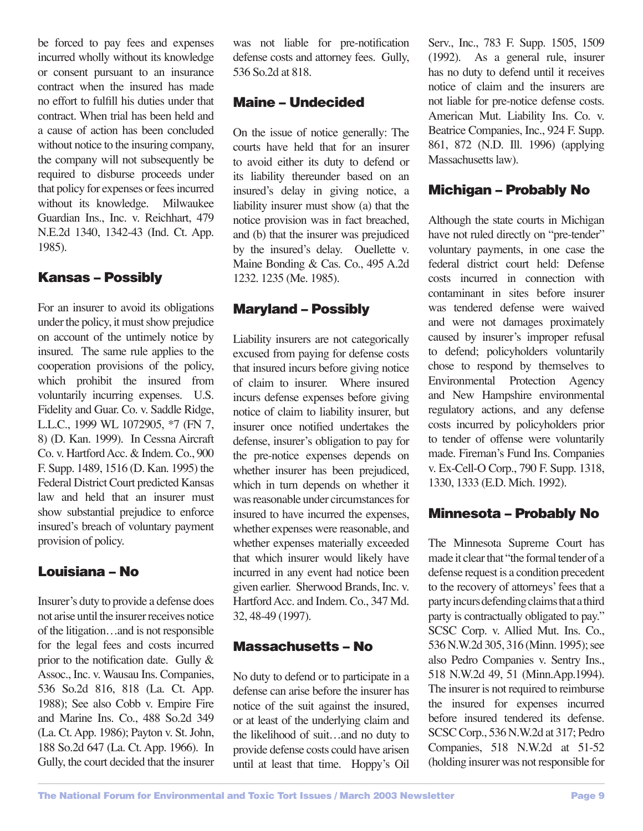be forced to pay fees and expenses incurred wholly without its knowledge or consent pursuant to an insurance contract when the insured has made no effort to fulfill his duties under that contract. When trial has been held and a cause of action has been concluded without notice to the insuring company, the company will not subsequently be required to disburse proceeds under that policy for expenses or fees incurred without its knowledge. Milwaukee Guardian Ins., Inc. v. Reichhart, 479 N.E.2d 1340, 1342-43 (Ind. Ct. App. 1985).

#### Kansas – Possibly

For an insurer to avoid its obligations under the policy, it must show prejudice on account of the untimely notice by insured. The same rule applies to the cooperation provisions of the policy, which prohibit the insured from voluntarily incurring expenses. U.S. Fidelity and Guar. Co. v. Saddle Ridge, L.L.C., 1999 WL 1072905, \*7 (FN 7, 8) (D. Kan. 1999). In Cessna Aircraft Co. v. Hartford Acc. & Indem. Co., 900 F. Supp. 1489, 1516 (D. Kan. 1995) the Federal District Court predicted Kansas law and held that an insurer must show substantial prejudice to enforce insured's breach of voluntary payment provision of policy.

# Louisiana – No

Insurer's duty to provide a defense does not arise until the insurer receives notice of the litigation…and is not responsible for the legal fees and costs incurred prior to the notification date. Gully  $\&$ Assoc., Inc. v. Wausau Ins. Companies, 536 So.2d 816, 818 (La. Ct. App. 1988); See also Cobb v. Empire Fire and Marine Ins. Co., 488 So.2d 349 (La. Ct. App. 1986); Payton v. St. John, 188 So.2d 647 (La. Ct. App. 1966). In Gully, the court decided that the insurer was not liable for pre-notification defense costs and attorney fees. Gully, 536 So.2d at 818.

#### Maine – Undecided

On the issue of notice generally: The courts have held that for an insurer to avoid either its duty to defend or its liability thereunder based on an insured's delay in giving notice, a liability insurer must show (a) that the notice provision was in fact breached, and (b) that the insurer was prejudiced by the insured's delay. Ouellette v. Maine Bonding & Cas. Co., 495 A.2d 1232. 1235 (Me. 1985).

#### Maryland – Possibly

Liability insurers are not categorically excused from paying for defense costs that insured incurs before giving notice of claim to insurer. Where insured incurs defense expenses before giving notice of claim to liability insurer, but insurer once notified undertakes the defense, insurer's obligation to pay for the pre-notice expenses depends on whether insurer has been prejudiced, which in turn depends on whether it was reasonable under circumstances for insured to have incurred the expenses, whether expenses were reasonable, and whether expenses materially exceeded that which insurer would likely have incurred in any event had notice been given earlier. Sherwood Brands, Inc. v. Hartford Acc. and Indem. Co., 347 Md. 32, 48-49 (1997).

#### Massachusetts – No

No duty to defend or to participate in a defense can arise before the insurer has notice of the suit against the insured, or at least of the underlying claim and the likelihood of suit…and no duty to provide defense costs could have arisen until at least that time. Hoppy's Oil Serv., Inc., 783 F. Supp. 1505, 1509 (1992). As a general rule, insurer has no duty to defend until it receives notice of claim and the insurers are not liable for pre-notice defense costs. American Mut. Liability Ins. Co. v. Beatrice Companies, Inc., 924 F. Supp. 861, 872 (N.D. Ill. 1996) (applying Massachusetts law).

#### Michigan – Probably No

Although the state courts in Michigan have not ruled directly on "pre-tender" voluntary payments, in one case the federal district court held: Defense costs incurred in connection with contaminant in sites before insurer was tendered defense were waived and were not damages proximately caused by insurer's improper refusal to defend; policyholders voluntarily chose to respond by themselves to Environmental Protection Agency and New Hampshire environmental regulatory actions, and any defense costs incurred by policyholders prior to tender of offense were voluntarily made. Fireman's Fund Ins. Companies v. Ex-Cell-O Corp., 790 F. Supp. 1318, 1330, 1333 (E.D. Mich. 1992).

# Minnesota – Probably No

The Minnesota Supreme Court has made it clear that "the formal tender of a defense request is a condition precedent to the recovery of attorneys' fees that a party incurs defending claims that a third party is contractually obligated to pay." SCSC Corp. v. Allied Mut. Ins. Co., 536 N.W.2d 305, 316 (Minn. 1995); see also Pedro Companies v. Sentry Ins., 518 N.W.2d 49, 51 (Minn.App.1994). The insurer is not required to reimburse the insured for expenses incurred before insured tendered its defense. SCSC Corp., 536 N.W.2d at 317; Pedro Companies, 518 N.W.2d at 51-52 (holding insurer was not responsible for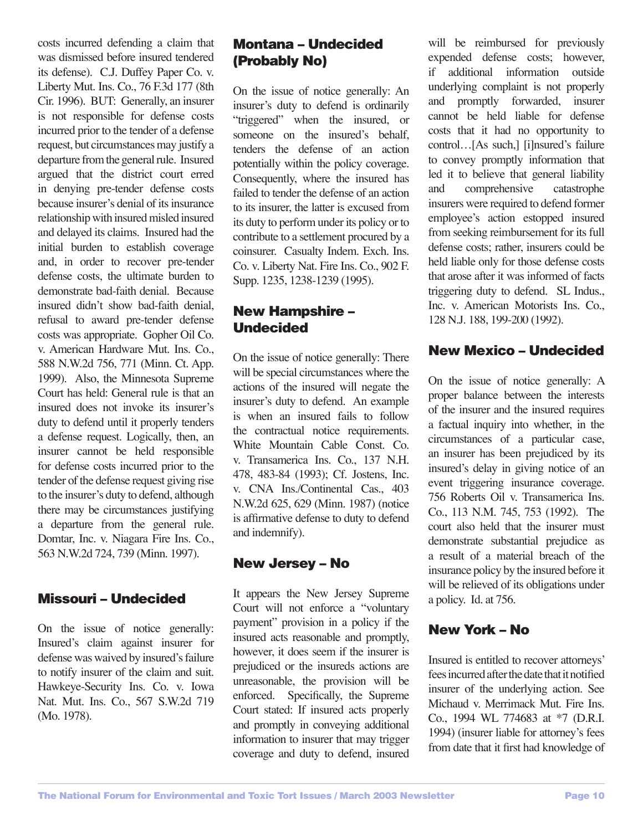costs incurred defending a claim that was dismissed before insured tendered its defense). C.J. Duffey Paper Co. v. Liberty Mut. Ins. Co., 76 F.3d 177 (8th Cir. 1996). BUT: Generally, an insurer is not responsible for defense costs incurred prior to the tender of a defense request, but circumstances may justify a departure from the general rule. Insured argued that the district court erred in denying pre-tender defense costs because insurer's denial of its insurance relationship with insured misled insured and delayed its claims. Insured had the initial burden to establish coverage and, in order to recover pre-tender defense costs, the ultimate burden to demonstrate bad-faith denial. Because insured didn't show bad-faith denial, refusal to award pre-tender defense costs was appropriate. Gopher Oil Co. v. American Hardware Mut. Ins. Co., 588 N.W.2d 756, 771 (Minn. Ct. App. 1999). Also, the Minnesota Supreme Court has held: General rule is that an insured does not invoke its insurer's duty to defend until it properly tenders a defense request. Logically, then, an insurer cannot be held responsible for defense costs incurred prior to the tender of the defense request giving rise to the insurer's duty to defend, although there may be circumstances justifying a departure from the general rule. Domtar, Inc. v. Niagara Fire Ins. Co., 563 N.W.2d 724, 739 (Minn. 1997).

#### Missouri – Undecided

On the issue of notice generally: Insured's claim against insurer for defense was waived by insured's failure to notify insurer of the claim and suit. Hawkeye-Security Ins. Co. v. Iowa Nat. Mut. Ins. Co., 567 S.W.2d 719 (Mo. 1978).

# Montana – Undecided (Probably No)

On the issue of notice generally: An insurer's duty to defend is ordinarily "triggered" when the insured, or someone on the insured's behalf, tenders the defense of an action potentially within the policy coverage. Consequently, where the insured has failed to tender the defense of an action to its insurer, the latter is excused from its duty to perform under its policy or to contribute to a settlement procured by a coinsurer. Casualty Indem. Exch. Ins. Co. v. Liberty Nat. Fire Ins. Co., 902 F. Supp. 1235, 1238-1239 (1995).

# New Hampshire – Undecided

On the issue of notice generally: There will be special circumstances where the actions of the insured will negate the insurer's duty to defend. An example is when an insured fails to follow the contractual notice requirements. White Mountain Cable Const. Co. v. Transamerica Ins. Co., 137 N.H. 478, 483-84 (1993); Cf. Jostens, Inc. v. CNA Ins./Continental Cas., 403 N.W.2d 625, 629 (Minn. 1987) (notice is affirmative defense to duty to defend and indemnify).

# New Jersey – No

It appears the New Jersey Supreme Court will not enforce a "voluntary payment" provision in a policy if the insured acts reasonable and promptly, however, it does seem if the insurer is prejudiced or the insureds actions are unreasonable, the provision will be enforced. Specifically, the Supreme Court stated: If insured acts properly and promptly in conveying additional information to insurer that may trigger coverage and duty to defend, insured will be reimbursed for previously expended defense costs; however, if additional information outside underlying complaint is not properly and promptly forwarded, insurer cannot be held liable for defense costs that it had no opportunity to control…[As such,] [i]nsured's failure to convey promptly information that led it to believe that general liability and comprehensive catastrophe insurers were required to defend former employee's action estopped insured from seeking reimbursement for its full defense costs; rather, insurers could be held liable only for those defense costs that arose after it was informed of facts triggering duty to defend. SL Indus., Inc. v. American Motorists Ins. Co., 128 N.J. 188, 199-200 (1992).

# New Mexico – Undecided

On the issue of notice generally: A proper balance between the interests of the insurer and the insured requires a factual inquiry into whether, in the circumstances of a particular case, an insurer has been prejudiced by its insured's delay in giving notice of an event triggering insurance coverage. 756 Roberts Oil v. Transamerica Ins. Co., 113 N.M. 745, 753 (1992). The court also held that the insurer must demonstrate substantial prejudice as a result of a material breach of the insurance policy by the insured before it will be relieved of its obligations under a policy. Id. at 756.

# New York – No

Insured is entitled to recover attorneys' fees incurred after the date that it notified insurer of the underlying action. See Michaud v. Merrimack Mut. Fire Ins. Co., 1994 WL 774683 at \*7 (D.R.I. 1994) (insurer liable for attorney's fees from date that it first had knowledge of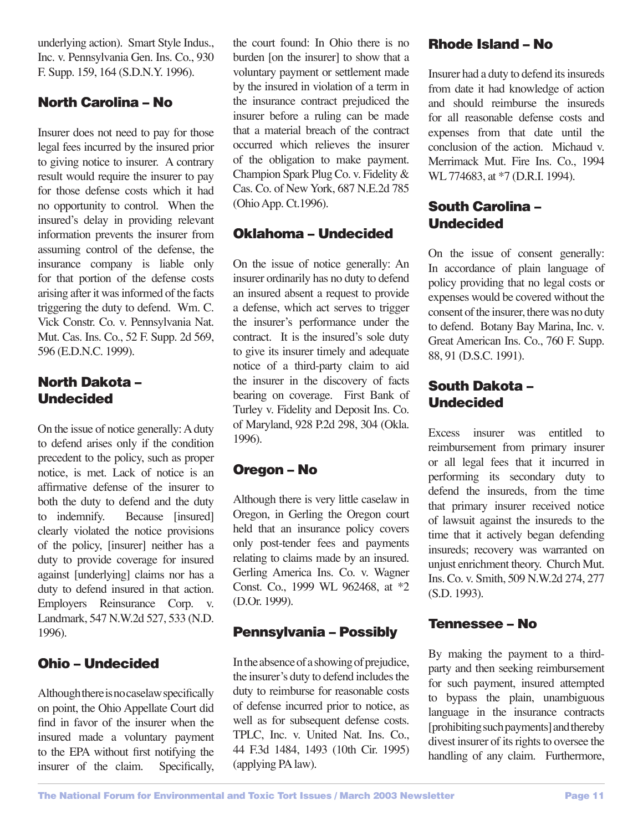underlying action). Smart Style Indus., Inc. v. Pennsylvania Gen. Ins. Co., 930 F. Supp. 159, 164 (S.D.N.Y. 1996).

# North Carolina – No

Insurer does not need to pay for those legal fees incurred by the insured prior to giving notice to insurer. A contrary result would require the insurer to pay for those defense costs which it had no opportunity to control. When the insured's delay in providing relevant information prevents the insurer from assuming control of the defense, the insurance company is liable only for that portion of the defense costs arising after it was informed of the facts triggering the duty to defend. Wm. C. Vick Constr. Co. v. Pennsylvania Nat. Mut. Cas. Ins. Co., 52 F. Supp. 2d 569, 596 (E.D.N.C. 1999).

# North Dakota – Undecided

On the issue of notice generally: A duty to defend arises only if the condition precedent to the policy, such as proper notice, is met. Lack of notice is an affirmative defense of the insurer to both the duty to defend and the duty to indemnify. Because [insured] clearly violated the notice provisions of the policy, [insurer] neither has a duty to provide coverage for insured against [underlying] claims nor has a duty to defend insured in that action. Employers Reinsurance Corp. v. Landmark, 547 N.W.2d 527, 533 (N.D. 1996).

# Ohio – Undecided

Although there is no caselaw specifically on point, the Ohio Appellate Court did find in favor of the insurer when the insured made a voluntary payment to the EPA without first notifying the insurer of the claim. Specifically, the court found: In Ohio there is no burden [on the insurer] to show that a voluntary payment or settlement made by the insured in violation of a term in the insurance contract prejudiced the insurer before a ruling can be made that a material breach of the contract occurred which relieves the insurer of the obligation to make payment. Champion Spark Plug Co. v. Fidelity & Cas. Co. of New York, 687 N.E.2d 785 (Ohio App. Ct.1996).

# Oklahoma – Undecided

On the issue of notice generally: An insurer ordinarily has no duty to defend an insured absent a request to provide a defense, which act serves to trigger the insurer's performance under the contract. It is the insured's sole duty to give its insurer timely and adequate notice of a third-party claim to aid the insurer in the discovery of facts bearing on coverage. First Bank of Turley v. Fidelity and Deposit Ins. Co. of Maryland, 928 P.2d 298, 304 (Okla. 1996).

# Oregon – No

Although there is very little caselaw in Oregon, in Gerling the Oregon court held that an insurance policy covers only post-tender fees and payments relating to claims made by an insured. Gerling America Ins. Co. v. Wagner Const. Co., 1999 WL 962468, at \*2 (D.Or. 1999).

# Pennsylvania – Possibly

In the absence of a showing of prejudice, the insurer's duty to defend includes the duty to reimburse for reasonable costs of defense incurred prior to notice, as well as for subsequent defense costs. TPLC, Inc. v. United Nat. Ins. Co., 44 F.3d 1484, 1493 (10th Cir. 1995) (applying PA law).

# Rhode Island – No

Insurer had a duty to defend its insureds from date it had knowledge of action and should reimburse the insureds for all reasonable defense costs and expenses from that date until the conclusion of the action. Michaud v. Merrimack Mut. Fire Ins. Co., 1994 WL 774683, at  $*7$  (D.R.I. 1994).

# South Carolina – Undecided

On the issue of consent generally: In accordance of plain language of policy providing that no legal costs or expenses would be covered without the consent of the insurer, there was no duty to defend. Botany Bay Marina, Inc. v. Great American Ins. Co., 760 F. Supp. 88, 91 (D.S.C. 1991).

# South Dakota – Undecided

Excess insurer was entitled to reimbursement from primary insurer or all legal fees that it incurred in performing its secondary duty to defend the insureds, from the time that primary insurer received notice of lawsuit against the insureds to the time that it actively began defending insureds; recovery was warranted on unjust enrichment theory. Church Mut. Ins. Co. v. Smith, 509 N.W.2d 274, 277 (S.D. 1993).

# Tennessee – No

By making the payment to a thirdparty and then seeking reimbursement for such payment, insured attempted to bypass the plain, unambiguous language in the insurance contracts [prohibiting such payments] and thereby divest insurer of its rights to oversee the handling of any claim. Furthermore,